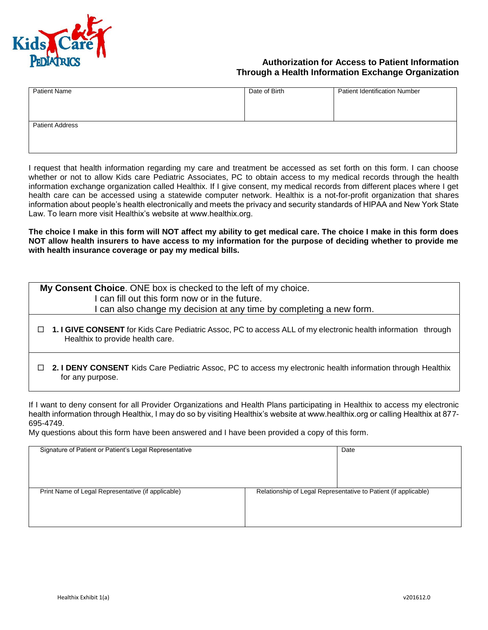

## **Authorization for Access to Patient Information Through a Health Information Exchange Organization**

| <b>Patient Name</b>    | Date of Birth | <b>Patient Identification Number</b> |
|------------------------|---------------|--------------------------------------|
|                        |               |                                      |
|                        |               |                                      |
| <b>Patient Address</b> |               |                                      |
|                        |               |                                      |
|                        |               |                                      |

I request that health information regarding my care and treatment be accessed as set forth on this form. I can choose whether or not to allow Kids care Pediatric Associates, PC to obtain access to my medical records through the health information exchange organization called Healthix. If I give consent, my medical records from different places where I get health care can be accessed using a statewide computer network. Healthix is a not-for-profit organization that shares information about people's health electronically and meets the privacy and security standards of HIPAA and New York State Law. To learn more visit Healthix's website at www.healthix.org.

**The choice I make in this form will NOT affect my ability to get medical care. The choice I make in this form does NOT allow health insurers to have access to my information for the purpose of deciding whether to provide me with health insurance coverage or pay my medical bills.**

| My Consent Choice. ONE box is checked to the left of my choice.                                               |  |  |  |
|---------------------------------------------------------------------------------------------------------------|--|--|--|
| I can fill out this form now or in the future.                                                                |  |  |  |
| I can also change my decision at any time by completing a new form.                                           |  |  |  |
| 1. I GIVE CONSENT for Kids Care Pediatric Assoc, PC to access ALL of my electronic health information through |  |  |  |
| Healthix to provide health care.                                                                              |  |  |  |

 **2. I DENY CONSENT** Kids Care Pediatric Assoc, PC to access my electronic health information through Healthix for any purpose.

If I want to deny consent for all Provider Organizations and Health Plans participating in Healthix to access my electronic health information through Healthix, I may do so by visiting Healthix's website at www.healthix.org or calling Healthix at 877- 695-4749.

My questions about this form have been answered and I have been provided a copy of this form.

| Signature of Patient or Patient's Legal Representative |                                                                 | Date |
|--------------------------------------------------------|-----------------------------------------------------------------|------|
|                                                        |                                                                 |      |
|                                                        |                                                                 |      |
|                                                        |                                                                 |      |
|                                                        |                                                                 |      |
|                                                        |                                                                 |      |
|                                                        |                                                                 |      |
| Print Name of Legal Representative (if applicable)     | Relationship of Legal Representative to Patient (if applicable) |      |
|                                                        |                                                                 |      |
|                                                        |                                                                 |      |
|                                                        |                                                                 |      |
|                                                        |                                                                 |      |
|                                                        |                                                                 |      |
|                                                        |                                                                 |      |
|                                                        |                                                                 |      |